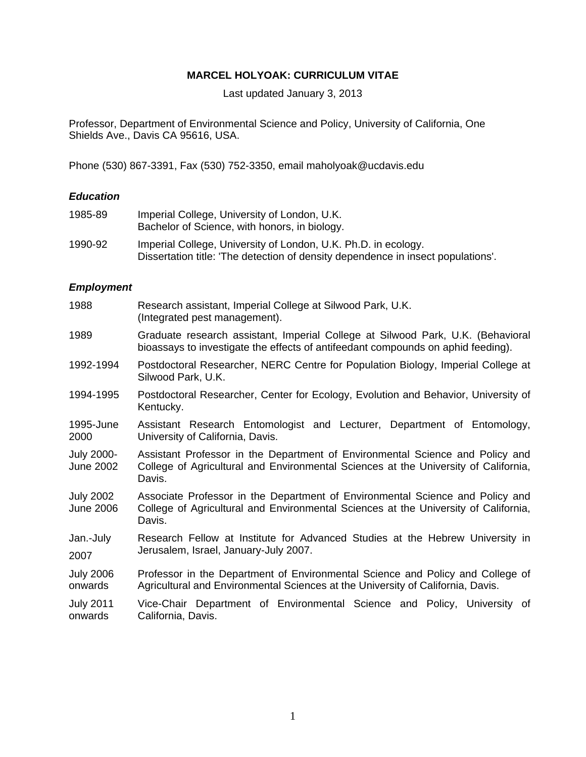# **MARCEL HOLYOAK: CURRICULUM VITAE**

Last updated January 3, 2013

Professor, Department of Environmental Science and Policy, University of California, One Shields Ave., Davis CA 95616, USA.

Phone (530) 867-3391, Fax (530) 752-3350, email maholyoak@ucdavis.edu

# *Education*

| 1985-89 | Imperial College, University of London, U.K.<br>Bachelor of Science, with honors, in biology.                                                      |
|---------|----------------------------------------------------------------------------------------------------------------------------------------------------|
| 1990-92 | Imperial College, University of London, U.K. Ph.D. in ecology.<br>Dissertation title: 'The detection of density dependence in insect populations'. |

# *Employment*

| 1988                                 | Research assistant, Imperial College at Silwood Park, U.K.<br>(Integrated pest management).                                                                                    |
|--------------------------------------|--------------------------------------------------------------------------------------------------------------------------------------------------------------------------------|
| 1989                                 | Graduate research assistant, Imperial College at Silwood Park, U.K. (Behavioral<br>bioassays to investigate the effects of antifeedant compounds on aphid feeding).            |
| 1992-1994                            | Postdoctoral Researcher, NERC Centre for Population Biology, Imperial College at<br>Silwood Park, U.K.                                                                         |
| 1994-1995                            | Postdoctoral Researcher, Center for Ecology, Evolution and Behavior, University of<br>Kentucky.                                                                                |
| 1995-June<br>2000                    | Assistant Research Entomologist and Lecturer, Department of Entomology,<br>University of California, Davis.                                                                    |
| <b>July 2000-</b><br>June 2002       | Assistant Professor in the Department of Environmental Science and Policy and<br>College of Agricultural and Environmental Sciences at the University of California,<br>Davis. |
| <b>July 2002</b><br><b>June 2006</b> | Associate Professor in the Department of Environmental Science and Policy and<br>College of Agricultural and Environmental Sciences at the University of California,<br>Davis. |
| Jan.-July<br>2007                    | Research Fellow at Institute for Advanced Studies at the Hebrew University in<br>Jerusalem, Israel, January-July 2007.                                                         |
| <b>July 2006</b><br>onwards          | Professor in the Department of Environmental Science and Policy and College of<br>Agricultural and Environmental Sciences at the University of California, Davis.              |
| <b>July 2011</b><br>onwards          | Vice-Chair Department of Environmental Science and Policy, University of<br>California, Davis.                                                                                 |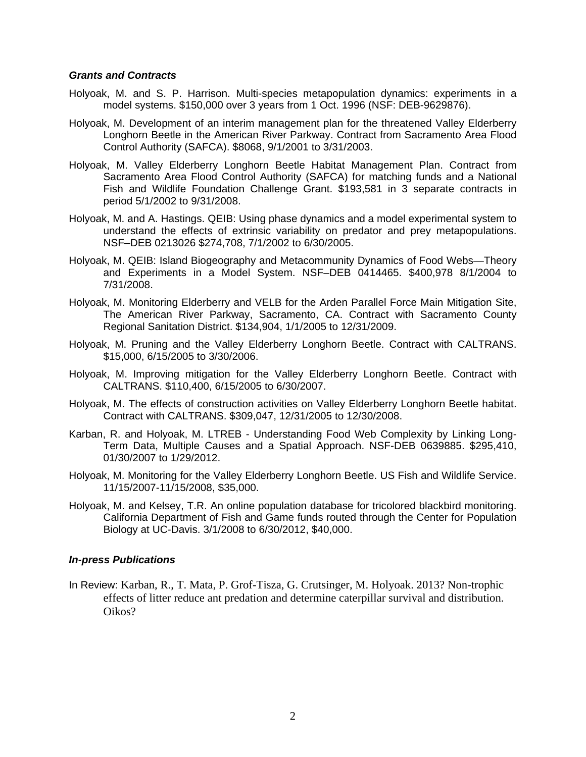## *Grants and Contracts*

- Holyoak, M. and S. P. Harrison. Multi-species metapopulation dynamics: experiments in a model systems. \$150,000 over 3 years from 1 Oct. 1996 (NSF: DEB-9629876).
- Holyoak, M. Development of an interim management plan for the threatened Valley Elderberry Longhorn Beetle in the American River Parkway. Contract from Sacramento Area Flood Control Authority (SAFCA). \$8068, 9/1/2001 to 3/31/2003.
- Holyoak, M. Valley Elderberry Longhorn Beetle Habitat Management Plan. Contract from Sacramento Area Flood Control Authority (SAFCA) for matching funds and a National Fish and Wildlife Foundation Challenge Grant. \$193,581 in 3 separate contracts in period 5/1/2002 to 9/31/2008.
- Holyoak, M. and A. Hastings. QEIB: Using phase dynamics and a model experimental system to understand the effects of extrinsic variability on predator and prey metapopulations. NSF–DEB 0213026 \$274,708, 7/1/2002 to 6/30/2005.
- Holyoak, M. QEIB: Island Biogeography and Metacommunity Dynamics of Food Webs—Theory and Experiments in a Model System. NSF–DEB 0414465. \$400,978 8/1/2004 to 7/31/2008.
- Holyoak, M. Monitoring Elderberry and VELB for the Arden Parallel Force Main Mitigation Site, The American River Parkway, Sacramento, CA. Contract with Sacramento County Regional Sanitation District. \$134,904, 1/1/2005 to 12/31/2009.
- Holyoak, M. Pruning and the Valley Elderberry Longhorn Beetle. Contract with CALTRANS. \$15,000, 6/15/2005 to 3/30/2006.
- Holyoak, M. Improving mitigation for the Valley Elderberry Longhorn Beetle. Contract with CALTRANS. \$110,400, 6/15/2005 to 6/30/2007.
- Holyoak, M. The effects of construction activities on Valley Elderberry Longhorn Beetle habitat. Contract with CALTRANS. \$309,047, 12/31/2005 to 12/30/2008.
- Karban, R. and Holyoak, M. LTREB Understanding Food Web Complexity by Linking Long-Term Data, Multiple Causes and a Spatial Approach. NSF-DEB 0639885. \$295,410, 01/30/2007 to 1/29/2012.
- Holyoak, M. Monitoring for the Valley Elderberry Longhorn Beetle. US Fish and Wildlife Service. 11/15/2007-11/15/2008, \$35,000.
- Holyoak, M. and Kelsey, T.R. An online population database for tricolored blackbird monitoring. California Department of Fish and Game funds routed through the Center for Population Biology at UC-Davis. 3/1/2008 to 6/30/2012, \$40,000.

## *In-press Publications*

In Review: Karban, R., T. Mata, P. Grof-Tisza, G. Crutsinger, M. Holyoak. 2013? Non-trophic effects of litter reduce ant predation and determine caterpillar survival and distribution. Oikos?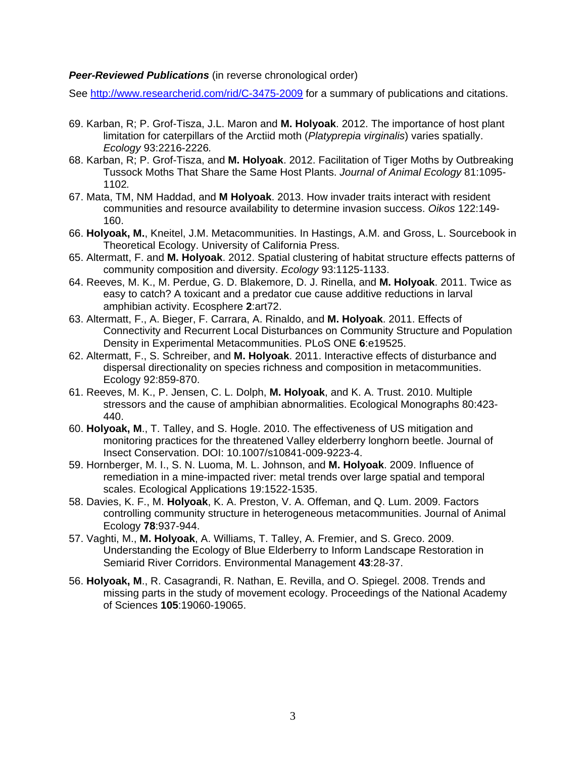# **Peer-Reviewed Publications** (in reverse chronological order)

See http://www.researcherid.com/rid/C-3475-2009 for a summary of publications and citations.

- 69. Karban, R; P. Grof-Tisza, J.L. Maron and **M. Holyoak**. 2012. The importance of host plant limitation for caterpillars of the Arctiid moth (*Platyprepia virginalis*) varies spatially. *Ecology* 93:2216-2226*.*
- 68. Karban, R; P. Grof-Tisza, and **M. Holyoak**. 2012. Facilitation of Tiger Moths by Outbreaking Tussock Moths That Share the Same Host Plants. *Journal of Animal Ecology* 81:1095- 1102*.*
- 67. Mata, TM, NM Haddad, and **M Holyoak**. 2013. How invader traits interact with resident communities and resource availability to determine invasion success. *Oikos* 122:149- 160.
- 66. **Holyoak, M.**, Kneitel, J.M. Metacommunities. In Hastings, A.M. and Gross, L. Sourcebook in Theoretical Ecology. University of California Press.
- 65. Altermatt, F. and **M. Holyoak**. 2012. Spatial clustering of habitat structure effects patterns of community composition and diversity. *Ecology* 93:1125-1133.
- 64. Reeves, M. K., M. Perdue, G. D. Blakemore, D. J. Rinella, and **M. Holyoak**. 2011. Twice as easy to catch? A toxicant and a predator cue cause additive reductions in larval amphibian activity. Ecosphere **2**:art72.
- 63. Altermatt, F., A. Bieger, F. Carrara, A. Rinaldo, and **M. Holyoak**. 2011. Effects of Connectivity and Recurrent Local Disturbances on Community Structure and Population Density in Experimental Metacommunities. PLoS ONE **6**:e19525.
- 62. Altermatt, F., S. Schreiber, and **M. Holyoak**. 2011. Interactive effects of disturbance and dispersal directionality on species richness and composition in metacommunities. Ecology 92:859-870.
- 61. Reeves, M. K., P. Jensen, C. L. Dolph, **M. Holyoak**, and K. A. Trust. 2010. Multiple stressors and the cause of amphibian abnormalities. Ecological Monographs 80:423- 440.
- 60. **Holyoak, M**., T. Talley, and S. Hogle. 2010. The effectiveness of US mitigation and monitoring practices for the threatened Valley elderberry longhorn beetle. Journal of Insect Conservation. DOI: 10.1007/s10841-009-9223-4.
- 59. Hornberger, M. I., S. N. Luoma, M. L. Johnson, and **M. Holyoak**. 2009. Influence of remediation in a mine-impacted river: metal trends over large spatial and temporal scales. Ecological Applications 19:1522-1535.
- 58. Davies, K. F., M. **Holyoak**, K. A. Preston, V. A. Offeman, and Q. Lum. 2009. Factors controlling community structure in heterogeneous metacommunities. Journal of Animal Ecology **78**:937-944.
- 57. Vaghti, M., **M. Holyoak**, A. Williams, T. Talley, A. Fremier, and S. Greco. 2009. Understanding the Ecology of Blue Elderberry to Inform Landscape Restoration in Semiarid River Corridors. Environmental Management **43**:28-37.
- 56. **Holyoak, M**., R. Casagrandi, R. Nathan, E. Revilla, and O. Spiegel. 2008. Trends and missing parts in the study of movement ecology. Proceedings of the National Academy of Sciences **105**:19060-19065.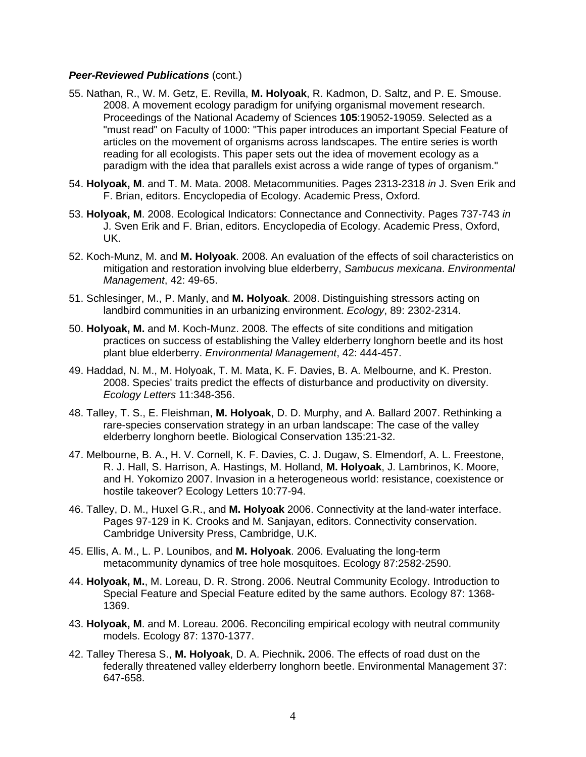- 55. Nathan, R., W. M. Getz, E. Revilla, **M. Holyoak**, R. Kadmon, D. Saltz, and P. E. Smouse. 2008. A movement ecology paradigm for unifying organismal movement research. Proceedings of the National Academy of Sciences **105**:19052-19059. Selected as a "must read" on Faculty of 1000: "This paper introduces an important Special Feature of articles on the movement of organisms across landscapes. The entire series is worth reading for all ecologists. This paper sets out the idea of movement ecology as a paradigm with the idea that parallels exist across a wide range of types of organism."
- 54. **Holyoak, M**. and T. M. Mata. 2008. Metacommunities. Pages 2313-2318 *in* J. Sven Erik and F. Brian, editors. Encyclopedia of Ecology. Academic Press, Oxford.
- 53. **Holyoak, M**. 2008. Ecological Indicators: Connectance and Connectivity. Pages 737-743 *in* J. Sven Erik and F. Brian, editors. Encyclopedia of Ecology. Academic Press, Oxford, UK.
- 52. Koch-Munz, M. and **M. Holyoak**. 2008. An evaluation of the effects of soil characteristics on mitigation and restoration involving blue elderberry, *Sambucus mexicana*. *Environmental Management*, 42: 49-65.
- 51. Schlesinger, M., P. Manly, and **M. Holyoak**. 2008. Distinguishing stressors acting on landbird communities in an urbanizing environment. *Ecology*, 89: 2302-2314.
- 50. **Holyoak, M.** and M. Koch-Munz. 2008. The effects of site conditions and mitigation practices on success of establishing the Valley elderberry longhorn beetle and its host plant blue elderberry. *Environmental Management*, 42: 444-457.
- 49. Haddad, N. M., M. Holyoak, T. M. Mata, K. F. Davies, B. A. Melbourne, and K. Preston. 2008. Species' traits predict the effects of disturbance and productivity on diversity. *Ecology Letters* 11:348-356.
- 48. Talley, T. S., E. Fleishman, **M. Holyoak**, D. D. Murphy, and A. Ballard 2007. Rethinking a rare-species conservation strategy in an urban landscape: The case of the valley elderberry longhorn beetle. Biological Conservation 135:21-32.
- 47. Melbourne, B. A., H. V. Cornell, K. F. Davies, C. J. Dugaw, S. Elmendorf, A. L. Freestone, R. J. Hall, S. Harrison, A. Hastings, M. Holland, **M. Holyoak**, J. Lambrinos, K. Moore, and H. Yokomizo 2007. Invasion in a heterogeneous world: resistance, coexistence or hostile takeover? Ecology Letters 10:77-94.
- 46. Talley, D. M., Huxel G.R., and **M. Holyoak** 2006. Connectivity at the land-water interface. Pages 97-129 in K. Crooks and M. Sanjayan, editors. Connectivity conservation. Cambridge University Press, Cambridge, U.K.
- 45. Ellis, A. M., L. P. Lounibos, and **M. Holyoak**. 2006. Evaluating the long-term metacommunity dynamics of tree hole mosquitoes. Ecology 87:2582-2590.
- 44. **Holyoak, M.**, M. Loreau, D. R. Strong. 2006. Neutral Community Ecology. Introduction to Special Feature and Special Feature edited by the same authors. Ecology 87: 1368- 1369.
- 43. **Holyoak, M**. and M. Loreau. 2006. Reconciling empirical ecology with neutral community models. Ecology 87: 1370-1377.
- 42. Talley Theresa S., **M. Holyoak**, D. A. Piechnik**.** 2006. The effects of road dust on the federally threatened valley elderberry longhorn beetle. Environmental Management 37: 647-658.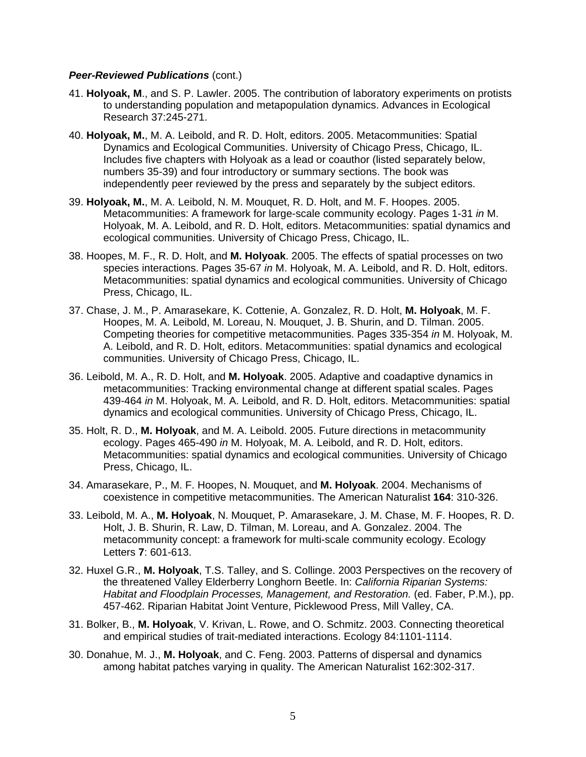- 41. **Holyoak, M**., and S. P. Lawler. 2005. The contribution of laboratory experiments on protists to understanding population and metapopulation dynamics. Advances in Ecological Research 37:245-271.
- 40. **Holyoak, M.**, M. A. Leibold, and R. D. Holt, editors. 2005. Metacommunities: Spatial Dynamics and Ecological Communities. University of Chicago Press, Chicago, IL. Includes five chapters with Holyoak as a lead or coauthor (listed separately below, numbers 35-39) and four introductory or summary sections. The book was independently peer reviewed by the press and separately by the subject editors.
- 39. **Holyoak, M.**, M. A. Leibold, N. M. Mouquet, R. D. Holt, and M. F. Hoopes. 2005. Metacommunities: A framework for large-scale community ecology. Pages 1-31 *in* M. Holyoak, M. A. Leibold, and R. D. Holt, editors. Metacommunities: spatial dynamics and ecological communities. University of Chicago Press, Chicago, IL.
- 38. Hoopes, M. F., R. D. Holt, and **M. Holyoak**. 2005. The effects of spatial processes on two species interactions. Pages 35-67 *in* M. Holyoak, M. A. Leibold, and R. D. Holt, editors. Metacommunities: spatial dynamics and ecological communities. University of Chicago Press, Chicago, IL.
- 37. Chase, J. M., P. Amarasekare, K. Cottenie, A. Gonzalez, R. D. Holt, **M. Holyoak**, M. F. Hoopes, M. A. Leibold, M. Loreau, N. Mouquet, J. B. Shurin, and D. Tilman. 2005. Competing theories for competitive metacommunities. Pages 335-354 *in* M. Holyoak, M. A. Leibold, and R. D. Holt, editors. Metacommunities: spatial dynamics and ecological communities. University of Chicago Press, Chicago, IL.
- 36. Leibold, M. A., R. D. Holt, and **M. Holyoak**. 2005. Adaptive and coadaptive dynamics in metacommunities: Tracking environmental change at different spatial scales. Pages 439-464 *in* M. Holyoak, M. A. Leibold, and R. D. Holt, editors. Metacommunities: spatial dynamics and ecological communities. University of Chicago Press, Chicago, IL.
- 35. Holt, R. D., **M. Holyoak**, and M. A. Leibold. 2005. Future directions in metacommunity ecology. Pages 465-490 *in* M. Holyoak, M. A. Leibold, and R. D. Holt, editors. Metacommunities: spatial dynamics and ecological communities. University of Chicago Press, Chicago, IL.
- 34. Amarasekare, P., M. F. Hoopes, N. Mouquet, and **M. Holyoak**. 2004. Mechanisms of coexistence in competitive metacommunities. The American Naturalist **164**: 310-326.
- 33. Leibold, M. A., **M. Holyoak**, N. Mouquet, P. Amarasekare, J. M. Chase, M. F. Hoopes, R. D. Holt, J. B. Shurin, R. Law, D. Tilman, M. Loreau, and A. Gonzalez. 2004. The metacommunity concept: a framework for multi-scale community ecology. Ecology Letters **7**: 601-613.
- 32. Huxel G.R., **M. Holyoak**, T.S. Talley, and S. Collinge. 2003 Perspectives on the recovery of the threatened Valley Elderberry Longhorn Beetle. In: *California Riparian Systems: Habitat and Floodplain Processes, Management, and Restoration.* (ed. Faber, P.M.), pp. 457-462. Riparian Habitat Joint Venture, Picklewood Press, Mill Valley, CA.
- 31. Bolker, B., **M. Holyoak**, V. Krivan, L. Rowe, and O. Schmitz. 2003. Connecting theoretical and empirical studies of trait-mediated interactions. Ecology 84:1101-1114.
- 30. Donahue, M. J., **M. Holyoak**, and C. Feng. 2003. Patterns of dispersal and dynamics among habitat patches varying in quality. The American Naturalist 162:302-317.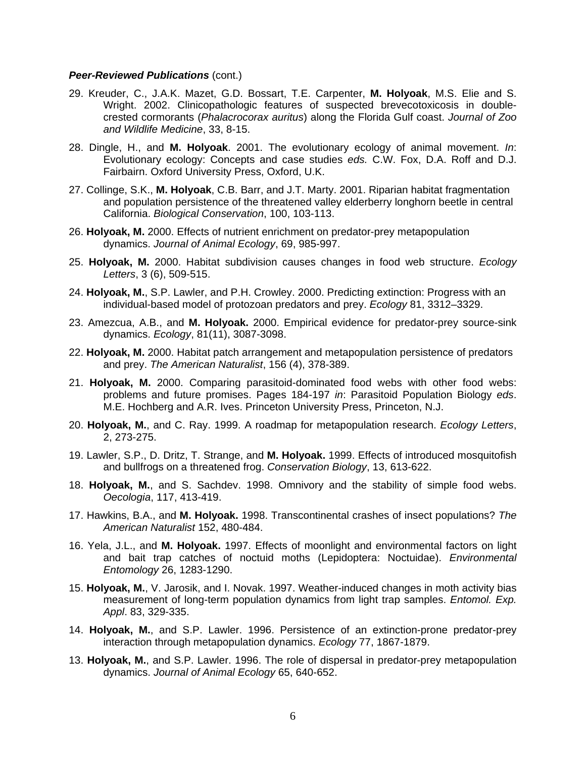- 29. Kreuder, C., J.A.K. Mazet, G.D. Bossart, T.E. Carpenter, **M. Holyoak**, M.S. Elie and S. Wright. 2002. Clinicopathologic features of suspected brevecotoxicosis in doublecrested cormorants (*Phalacrocorax auritus*) along the Florida Gulf coast. *Journal of Zoo and Wildlife Medicine*, 33, 8-15.
- 28. Dingle, H., and **M. Holyoak**. 2001. The evolutionary ecology of animal movement. *In*: Evolutionary ecology: Concepts and case studies *eds.* C.W. Fox, D.A. Roff and D.J. Fairbairn. Oxford University Press, Oxford, U.K.
- 27. Collinge, S.K., **M. Holyoak**, C.B. Barr, and J.T. Marty. 2001. Riparian habitat fragmentation and population persistence of the threatened valley elderberry longhorn beetle in central California. *Biological Conservation*, 100, 103-113.
- 26. **Holyoak, M.** 2000. Effects of nutrient enrichment on predator-prey metapopulation dynamics. *Journal of Animal Ecology*, 69, 985-997.
- 25. **Holyoak, M.** 2000. Habitat subdivision causes changes in food web structure. *Ecology Letters*, 3 (6), 509-515.
- 24. **Holyoak, M.**, S.P. Lawler, and P.H. Crowley. 2000. Predicting extinction: Progress with an individual-based model of protozoan predators and prey. *Ecology* 81, 3312–3329.
- 23. Amezcua, A.B., and **M. Holyoak.** 2000. Empirical evidence for predator-prey source-sink dynamics. *Ecology*, 81(11), 3087-3098.
- 22. **Holyoak, M.** 2000. Habitat patch arrangement and metapopulation persistence of predators and prey. *The American Naturalist*, 156 (4), 378-389.
- 21. **Holyoak, M.** 2000. Comparing parasitoid-dominated food webs with other food webs: problems and future promises. Pages 184-197 *in*: Parasitoid Population Biology *eds*. M.E. Hochberg and A.R. Ives. Princeton University Press, Princeton, N.J.
- 20. **Holyoak, M.**, and C. Ray. 1999. A roadmap for metapopulation research. *Ecology Letters*, 2, 273-275.
- 19. Lawler, S.P., D. Dritz, T. Strange, and **M. Holyoak.** 1999. Effects of introduced mosquitofish and bullfrogs on a threatened frog. *Conservation Biology*, 13, 613-622.
- 18. **Holyoak, M.**, and S. Sachdev. 1998. Omnivory and the stability of simple food webs. *Oecologia*, 117, 413-419.
- 17. Hawkins, B.A., and **M. Holyoak.** 1998. Transcontinental crashes of insect populations? *The American Naturalist* 152, 480-484.
- 16. Yela, J.L., and **M. Holyoak.** 1997. Effects of moonlight and environmental factors on light and bait trap catches of noctuid moths (Lepidoptera: Noctuidae). *Environmental Entomology* 26, 1283-1290.
- 15. **Holyoak, M.**, V. Jarosik, and I. Novak. 1997. Weather-induced changes in moth activity bias measurement of long-term population dynamics from light trap samples. *Entomol. Exp. Appl*. 83, 329-335.
- 14. **Holyoak, M.**, and S.P. Lawler. 1996. Persistence of an extinction-prone predator-prey interaction through metapopulation dynamics. *Ecology* 77, 1867-1879.
- 13. **Holyoak, M.**, and S.P. Lawler. 1996. The role of dispersal in predator-prey metapopulation dynamics. *Journal of Animal Ecology* 65, 640-652.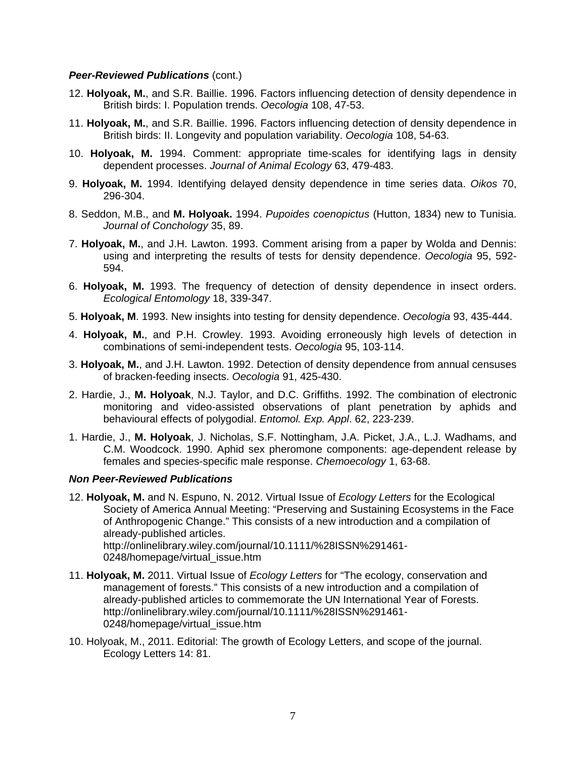- 12. **Holyoak, M.**, and S.R. Baillie. 1996. Factors influencing detection of density dependence in British birds: I. Population trends. *Oecologia* 108, 47-53.
- 11. **Holyoak, M.**, and S.R. Baillie. 1996. Factors influencing detection of density dependence in British birds: II. Longevity and population variability. *Oecologia* 108, 54-63.
- 10. **Holyoak, M.** 1994. Comment: appropriate time-scales for identifying lags in density dependent processes. *Journal of Animal Ecology* 63, 479-483.
- 9. **Holyoak, M.** 1994. Identifying delayed density dependence in time series data. *Oikos* 70, 296-304.
- 8. Seddon, M.B., and **M. Holyoak.** 1994. *Pupoides coenopictus* (Hutton, 1834) new to Tunisia. *Journal of Conchology* 35, 89.
- 7. **Holyoak, M.**, and J.H. Lawton. 1993. Comment arising from a paper by Wolda and Dennis: using and interpreting the results of tests for density dependence. *Oecologia* 95, 592- 594.
- 6. **Holyoak, M.** 1993. The frequency of detection of density dependence in insect orders. *Ecological Entomology* 18, 339-347.
- 5. **Holyoak, M**. 1993. New insights into testing for density dependence. *Oecologia* 93, 435-444.
- 4. **Holyoak, M.**, and P.H. Crowley. 1993. Avoiding erroneously high levels of detection in combinations of semi-independent tests. *Oecologia* 95, 103-114.
- 3. **Holyoak, M.**, and J.H. Lawton. 1992. Detection of density dependence from annual censuses of bracken-feeding insects. *Oecologia* 91, 425-430.
- 2. Hardie, J., **M. Holyoak**, N.J. Taylor, and D.C. Griffiths. 1992. The combination of electronic monitoring and video-assisted observations of plant penetration by aphids and behavioural effects of polygodial. *Entomol. Exp. Appl*. 62, 223-239.
- 1. Hardie, J., **M. Holyoak**, J. Nicholas, S.F. Nottingham, J.A. Picket, J.A., L.J. Wadhams, and C.M. Woodcock. 1990. Aphid sex pheromone components: age-dependent release by females and species-specific male response. *Chemoecology* 1, 63-68.

## *Non Peer-Reviewed Publications*

- 12. **Holyoak, M.** and N. Espuno, N. 2012. Virtual Issue of *Ecology Letters* for the Ecological Society of America Annual Meeting: "Preserving and Sustaining Ecosystems in the Face of Anthropogenic Change." This consists of a new introduction and a compilation of already-published articles. http://onlinelibrary.wiley.com/journal/10.1111/%28ISSN%291461- 0248/homepage/virtual\_issue.htm
- 11. **Holyoak, M.** 2011. Virtual Issue of *Ecology Letters* for "The ecology, conservation and management of forests." This consists of a new introduction and a compilation of already-published articles to commemorate the UN International Year of Forests. http://onlinelibrary.wiley.com/journal/10.1111/%28ISSN%291461- 0248/homepage/virtual issue.htm
- 10. Holyoak, M., 2011. Editorial: The growth of Ecology Letters, and scope of the journal. Ecology Letters 14: 81.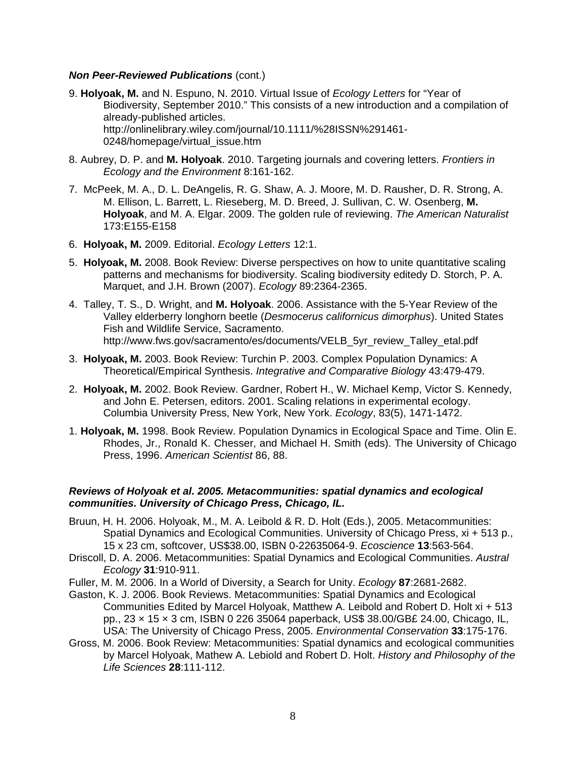- 9. **Holyoak, M.** and N. Espuno, N. 2010. Virtual Issue of *Ecology Letters* for "Year of Biodiversity, September 2010." This consists of a new introduction and a compilation of already-published articles. http://onlinelibrary.wiley.com/journal/10.1111/%28ISSN%291461- 0248/homepage/virtual\_issue.htm
- 8. Aubrey, D. P. and **M. Holyoak**. 2010. Targeting journals and covering letters. *Frontiers in Ecology and the Environment* 8:161-162.
- 7. McPeek, M. A., D. L. DeAngelis, R. G. Shaw, A. J. Moore, M. D. Rausher, D. R. Strong, A. M. Ellison, L. Barrett, L. Rieseberg, M. D. Breed, J. Sullivan, C. W. Osenberg, **M. Holyoak**, and M. A. Elgar. 2009. The golden rule of reviewing. *The American Naturalist* 173:E155-E158
- 6. **Holyoak, M.** 2009. Editorial. *Ecology Letters* 12:1.
- 5. **Holyoak, M.** 2008. Book Review: Diverse perspectives on how to unite quantitative scaling patterns and mechanisms for biodiversity. Scaling biodiversity editedy D. Storch, P. A. Marquet, and J.H. Brown (2007). *Ecology* 89:2364-2365.
- 4. Talley, T. S., D. Wright, and **M. Holyoak**. 2006. Assistance with the 5-Year Review of the Valley elderberry longhorn beetle (*Desmocerus californicus dimorphus*). United States Fish and Wildlife Service, Sacramento. http://www.fws.gov/sacramento/es/documents/VELB\_5yr\_review\_Talley\_etal.pdf
- 3. **Holyoak, M.** 2003. Book Review: Turchin P. 2003. Complex Population Dynamics: A Theoretical/Empirical Synthesis. *Integrative and Comparative Biology* 43:479-479.
- 2. **Holyoak, M.** 2002. Book Review. Gardner, Robert H., W. Michael Kemp, Victor S. Kennedy, and John E. Petersen, editors. 2001. Scaling relations in experimental ecology. Columbia University Press, New York, New York. *Ecology*, 83(5), 1471-1472.
- 1. **Holyoak, M.** 1998. Book Review. Population Dynamics in Ecological Space and Time. Olin E. Rhodes, Jr., Ronald K. Chesser, and Michael H. Smith (eds). The University of Chicago Press, 1996. *American Scientist* 86, 88.

# *Reviews of Holyoak et al. 2005. Metacommunities: spatial dynamics and ecological communities. University of Chicago Press, Chicago, IL.*

- Bruun, H. H. 2006. Holyoak, M., M. A. Leibold & R. D. Holt (Eds.), 2005. Metacommunities: Spatial Dynamics and Ecological Communities. University of Chicago Press, xi + 513 p., 15 x 23 cm, softcover, US\$38.00, ISBN 0-22635064-9. *Ecoscience* **13**:563-564.
- Driscoll, D. A. 2006. Metacommunities: Spatial Dynamics and Ecological Communities. *Austral Ecology* **31**:910-911.
- Fuller, M. M. 2006. In a World of Diversity, a Search for Unity. *Ecology* **87**:2681-2682.
- Gaston, K. J. 2006. Book Reviews. Metacommunities: Spatial Dynamics and Ecological Communities Edited by Marcel Holyoak, Matthew A. Leibold and Robert D. Holt xi + 513 pp., 23 × 15 × 3 cm, ISBN 0 226 35064 paperback, US\$ 38.00/GB£ 24.00, Chicago, IL, USA: The University of Chicago Press, 2005. *Environmental Conservation* **33**:175-176.
- Gross, M. 2006. Book Review: Metacommunities: Spatial dynamics and ecological communities by Marcel Holyoak, Mathew A. Lebiold and Robert D. Holt. *History and Philosophy of the Life Sciences* **28**:111-112.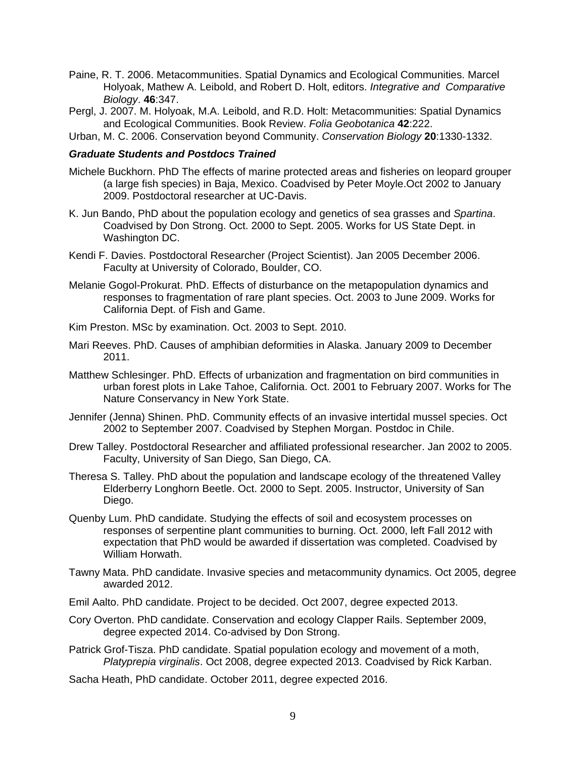- Paine, R. T. 2006. Metacommunities. Spatial Dynamics and Ecological Communities. Marcel Holyoak, Mathew A. Leibold, and Robert D. Holt, editors. *Integrative and Comparative Biology*. **46**:347.
- Pergl, J. 2007. M. Holyoak, M.A. Leibold, and R.D. Holt: Metacommunities: Spatial Dynamics and Ecological Communities. Book Review. *Folia Geobotanica* **42**:222.
- Urban, M. C. 2006. Conservation beyond Community. *Conservation Biology* **20**:1330-1332.

## *Graduate Students and Postdocs Trained*

- Michele Buckhorn. PhD The effects of marine protected areas and fisheries on leopard grouper (a large fish species) in Baja, Mexico. Coadvised by Peter Moyle.Oct 2002 to January 2009. Postdoctoral researcher at UC-Davis.
- K. Jun Bando, PhD about the population ecology and genetics of sea grasses and *Spartina*. Coadvised by Don Strong. Oct. 2000 to Sept. 2005. Works for US State Dept. in Washington DC.
- Kendi F. Davies. Postdoctoral Researcher (Project Scientist). Jan 2005 December 2006. Faculty at University of Colorado, Boulder, CO.
- Melanie Gogol-Prokurat. PhD. Effects of disturbance on the metapopulation dynamics and responses to fragmentation of rare plant species. Oct. 2003 to June 2009. Works for California Dept. of Fish and Game.
- Kim Preston. MSc by examination. Oct. 2003 to Sept. 2010.
- Mari Reeves. PhD. Causes of amphibian deformities in Alaska. January 2009 to December 2011.
- Matthew Schlesinger. PhD. Effects of urbanization and fragmentation on bird communities in urban forest plots in Lake Tahoe, California. Oct. 2001 to February 2007. Works for The Nature Conservancy in New York State.
- Jennifer (Jenna) Shinen. PhD. Community effects of an invasive intertidal mussel species. Oct 2002 to September 2007. Coadvised by Stephen Morgan. Postdoc in Chile.
- Drew Talley. Postdoctoral Researcher and affiliated professional researcher. Jan 2002 to 2005. Faculty, University of San Diego, San Diego, CA.
- Theresa S. Talley. PhD about the population and landscape ecology of the threatened Valley Elderberry Longhorn Beetle. Oct. 2000 to Sept. 2005. Instructor, University of San Diego.
- Quenby Lum. PhD candidate. Studying the effects of soil and ecosystem processes on responses of serpentine plant communities to burning. Oct. 2000, left Fall 2012 with expectation that PhD would be awarded if dissertation was completed. Coadvised by William Horwath.
- Tawny Mata. PhD candidate. Invasive species and metacommunity dynamics. Oct 2005, degree awarded 2012.
- Emil Aalto. PhD candidate. Project to be decided. Oct 2007, degree expected 2013.
- Cory Overton. PhD candidate. Conservation and ecology Clapper Rails. September 2009, degree expected 2014. Co-advised by Don Strong.
- Patrick Grof-Tisza. PhD candidate. Spatial population ecology and movement of a moth, *Platyprepia virginalis*. Oct 2008, degree expected 2013. Coadvised by Rick Karban.
- Sacha Heath, PhD candidate. October 2011, degree expected 2016.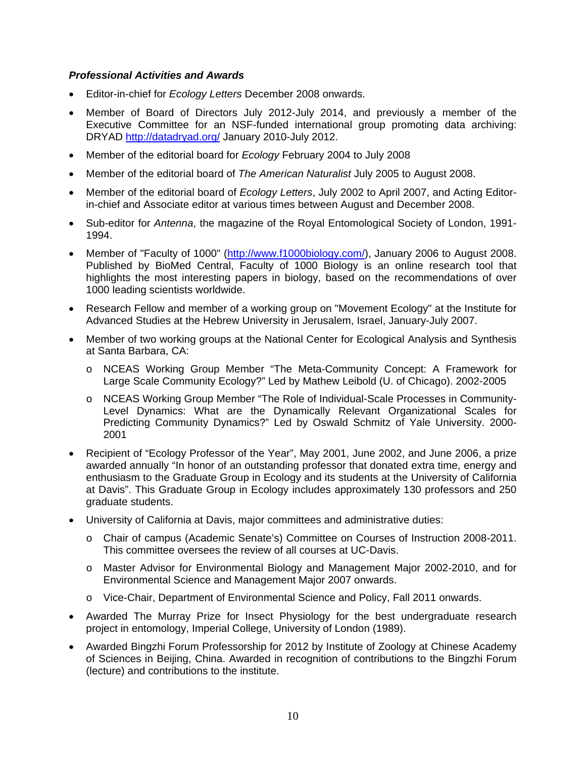# *Professional Activities and Awards*

- Editor-in-chief for *Ecology Letters* December 2008 onwards.
- Member of Board of Directors July 2012-July 2014, and previously a member of the Executive Committee for an NSF-funded international group promoting data archiving: DRYAD http://datadryad.org/ January 2010-July 2012.
- Member of the editorial board for *Ecology* February 2004 to July 2008
- Member of the editorial board of *The American Naturalist* July 2005 to August 2008.
- Member of the editorial board of *Ecology Letters*, July 2002 to April 2007, and Acting Editorin-chief and Associate editor at various times between August and December 2008.
- Sub-editor for *Antenna*, the magazine of the Royal Entomological Society of London, 1991- 1994.
- Member of "Faculty of 1000" (http://www.f1000biology.com/), January 2006 to August 2008. Published by BioMed Central, Faculty of 1000 Biology is an online research tool that highlights the most interesting papers in biology, based on the recommendations of over 1000 leading scientists worldwide.
- Research Fellow and member of a working group on "Movement Ecology" at the Institute for Advanced Studies at the Hebrew University in Jerusalem, Israel, January-July 2007.
- Member of two working groups at the National Center for Ecological Analysis and Synthesis at Santa Barbara, CA:
	- o NCEAS Working Group Member "The Meta-Community Concept: A Framework for Large Scale Community Ecology?" Led by Mathew Leibold (U. of Chicago). 2002-2005
	- o NCEAS Working Group Member "The Role of Individual-Scale Processes in Community-Level Dynamics: What are the Dynamically Relevant Organizational Scales for Predicting Community Dynamics?" Led by Oswald Schmitz of Yale University. 2000- 2001
- Recipient of "Ecology Professor of the Year", May 2001, June 2002, and June 2006, a prize awarded annually "In honor of an outstanding professor that donated extra time, energy and enthusiasm to the Graduate Group in Ecology and its students at the University of California at Davis". This Graduate Group in Ecology includes approximately 130 professors and 250 graduate students.
- University of California at Davis, major committees and administrative duties:
	- o Chair of campus (Academic Senate's) Committee on Courses of Instruction 2008-2011. This committee oversees the review of all courses at UC-Davis.
	- o Master Advisor for Environmental Biology and Management Major 2002-2010, and for Environmental Science and Management Major 2007 onwards.
	- o Vice-Chair, Department of Environmental Science and Policy, Fall 2011 onwards.
- Awarded The Murray Prize for Insect Physiology for the best undergraduate research project in entomology, Imperial College, University of London (1989).
- Awarded Bingzhi Forum Professorship for 2012 by Institute of Zoology at Chinese Academy of Sciences in Beijing, China. Awarded in recognition of contributions to the Bingzhi Forum (lecture) and contributions to the institute.